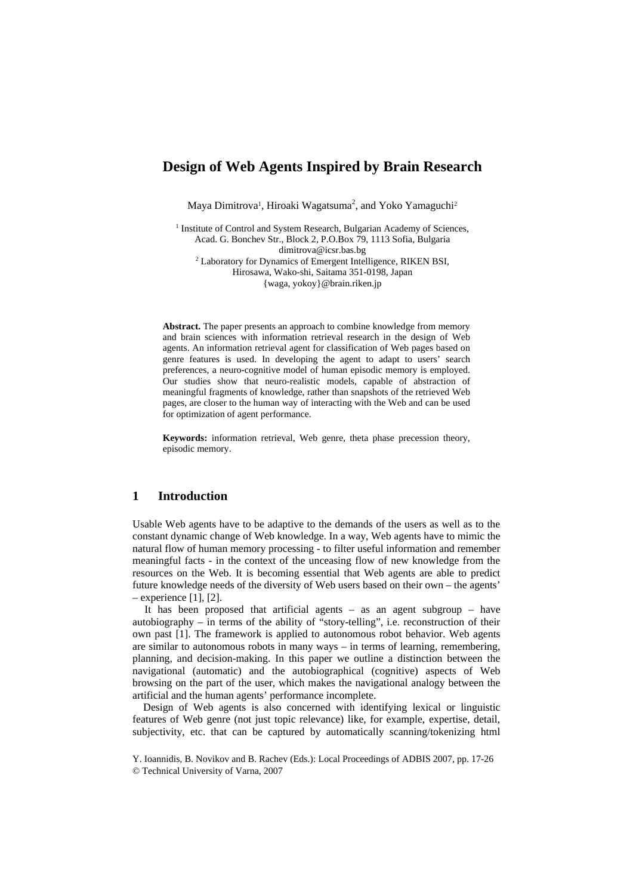# **Design of Web Agents Inspired by Brain Research**

Maya Dimitrova<sup>1</sup>, Hiroaki Wagatsuma<sup>2</sup>, and Yoko Yamaguchi<sup>2</sup>

<sup>1</sup> Institute of Control and System Research, Bulgarian Academy of Sciences, Acad. G. Bonchev Str., Block 2, P.O.Box 79, 1113 Sofia, Bulgaria dimitrova@icsr.bas.bg<br><sup>2</sup> Laboratory for Dynamics of Emergent Intelligence, RIKEN BSI, Hirosawa, Wako-shi, Saitama 351-0198, Japan {waga, yokoy}@brain.riken.jp

**Abstract.** The paper presents an approach to combine knowledge from memory and brain sciences with information retrieval research in the design of Web agents. An information retrieval agent for classification of Web pages based on genre features is used. In developing the agent to adapt to users' search preferences, a neuro-cognitive model of human episodic memory is employed. Our studies show that neuro-realistic models, capable of abstraction of meaningful fragments of knowledge, rather than snapshots of the retrieved Web pages, are closer to the human way of interacting with the Web and can be used for optimization of agent performance.

**Keywords:** information retrieval, Web genre, theta phase precession theory, episodic memory.

## **1 Introduction**

Usable Web agents have to be adaptive to the demands of the users as well as to the constant dynamic change of Web knowledge. In a way, Web agents have to mimic the natural flow of human memory processing - to filter useful information and remember meaningful facts - in the context of the unceasing flow of new knowledge from the resources on the Web. It is becoming essential that Web agents are able to predict future knowledge needs of the diversity of Web users based on their own – the agents' – experience [1], [2].

It has been proposed that artificial agents – as an agent subgroup – have autobiography – in terms of the ability of "story-telling", i.e. reconstruction of their own past [1]. The framework is applied to autonomous robot behavior. Web agents are similar to autonomous robots in many ways – in terms of learning, remembering, planning, and decision-making. In this paper we outline a distinction between the navigational (automatic) and the autobiographical (cognitive) aspects of Web browsing on the part of the user, which makes the navigational analogy between the artificial and the human agents' performance incomplete.

Design of Web agents is also concerned with identifying lexical or linguistic features of Web genre (not just topic relevance) like, for example, expertise, detail, subjectivity, etc. that can be captured by automatically scanning/tokenizing html

Y. Ioannidis, B. Novikov and B. Rachev (Eds.): Local Proceedings of ADBIS 2007, pp. 17-26 © Technical University of Varna, 2007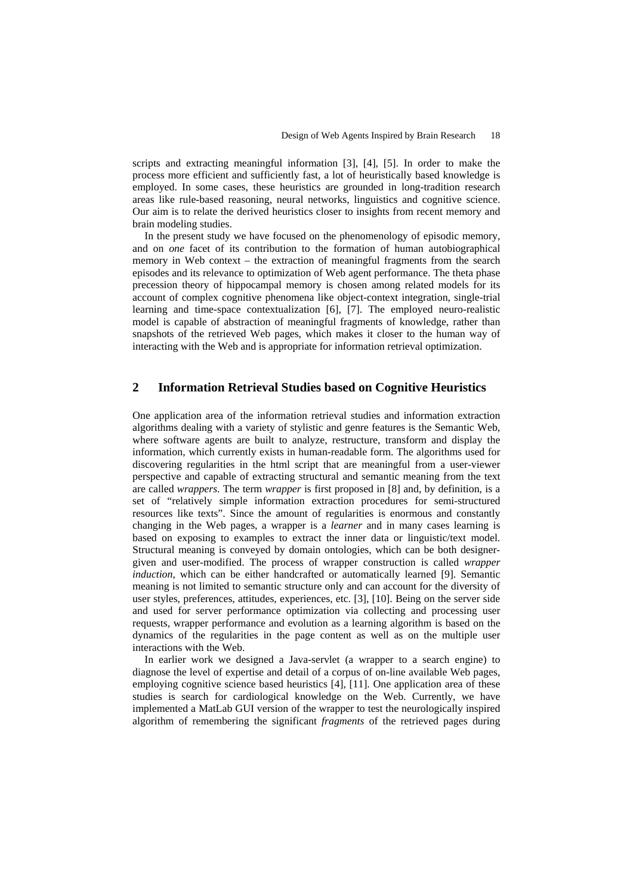scripts and extracting meaningful information [3], [4], [5]. In order to make the process more efficient and sufficiently fast, a lot of heuristically based knowledge is employed. In some cases, these heuristics are grounded in long-tradition research areas like rule-based reasoning, neural networks, linguistics and cognitive science. Our aim is to relate the derived heuristics closer to insights from recent memory and brain modeling studies.

In the present study we have focused on the phenomenology of episodic memory, and on *one* facet of its contribution to the formation of human autobiographical memory in Web context – the extraction of meaningful fragments from the search episodes and its relevance to optimization of Web agent performance. The theta phase precession theory of hippocampal memory is chosen among related models for its account of complex cognitive phenomena like object-context integration, single-trial learning and time-space contextualization [6], [7]. The employed neuro-realistic model is capable of abstraction of meaningful fragments of knowledge, rather than snapshots of the retrieved Web pages, which makes it closer to the human way of interacting with the Web and is appropriate for information retrieval optimization.

## **2 Information Retrieval Studies based on Cognitive Heuristics**

One application area of the information retrieval studies and information extraction algorithms dealing with a variety of stylistic and genre features is the Semantic Web, where software agents are built to analyze, restructure, transform and display the information, which currently exists in human-readable form. The algorithms used for discovering regularities in the html script that are meaningful from a user-viewer perspective and capable of extracting structural and semantic meaning from the text are called *wrappers*. The term *wrapper* is first proposed in [8] and, by definition, is a set of "relatively simple information extraction procedures for semi-structured resources like texts". Since the amount of regularities is enormous and constantly changing in the Web pages, a wrapper is a *learner* and in many cases learning is based on exposing to examples to extract the inner data or linguistic/text model. Structural meaning is conveyed by domain ontologies, which can be both designergiven and user-modified. The process of wrapper construction is called *wrapper induction*, which can be either handcrafted or automatically learned [9]. Semantic meaning is not limited to semantic structure only and can account for the diversity of user styles, preferences, attitudes, experiences, etc. [3], [10]. Being on the server side and used for server performance optimization via collecting and processing user requests, wrapper performance and evolution as a learning algorithm is based on the dynamics of the regularities in the page content as well as on the multiple user interactions with the Web.

In earlier work we designed a Java-servlet (a wrapper to a search engine) to diagnose the level of expertise and detail of a corpus of on-line available Web pages, employing cognitive science based heuristics [4], [11]. One application area of these studies is search for cardiological knowledge on the Web. Currently, we have implemented a MatLab GUI version of the wrapper to test the neurologically inspired algorithm of remembering the significant *fragments* of the retrieved pages during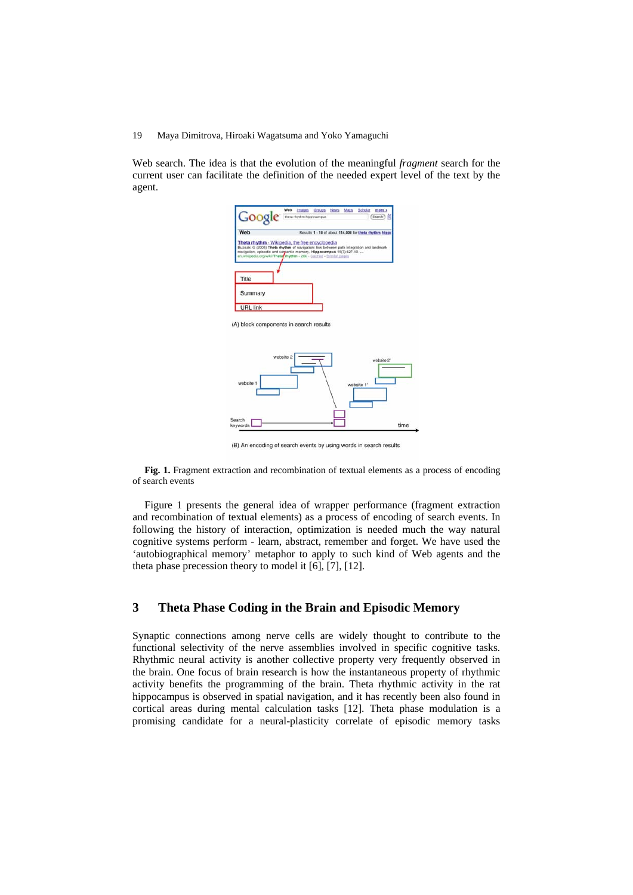Web search. The idea is that the evolution of the meaningful *fragment* search for the current user can facilitate the definition of the needed expert level of the text by the agent.



(B) An encoding of search events by using words in search results

Fig. 1. Fragment extraction and recombination of textual elements as a process of encoding of search events

Figure 1 presents the general idea of wrapper performance (fragment extraction and recombination of textual elements) as a process of encoding of search events. In following the history of interaction, optimization is needed much the way natural cognitive systems perform - learn, abstract, remember and forget. We have used the 'autobiographical memory' metaphor to apply to such kind of Web agents and the theta phase precession theory to model it [6], [7], [12].

## **3 Theta Phase Coding in the Brain and Episodic Memory**

Synaptic connections among nerve cells are widely thought to contribute to the functional selectivity of the nerve assemblies involved in specific cognitive tasks. Rhythmic neural activity is another collective property very frequently observed in the brain. One focus of brain research is how the instantaneous property of rhythmic activity benefits the programming of the brain. Theta rhythmic activity in the rat hippocampus is observed in spatial navigation, and it has recently been also found in cortical areas during mental calculation tasks [12]. Theta phase modulation is a promising candidate for a neural-plasticity correlate of episodic memory tasks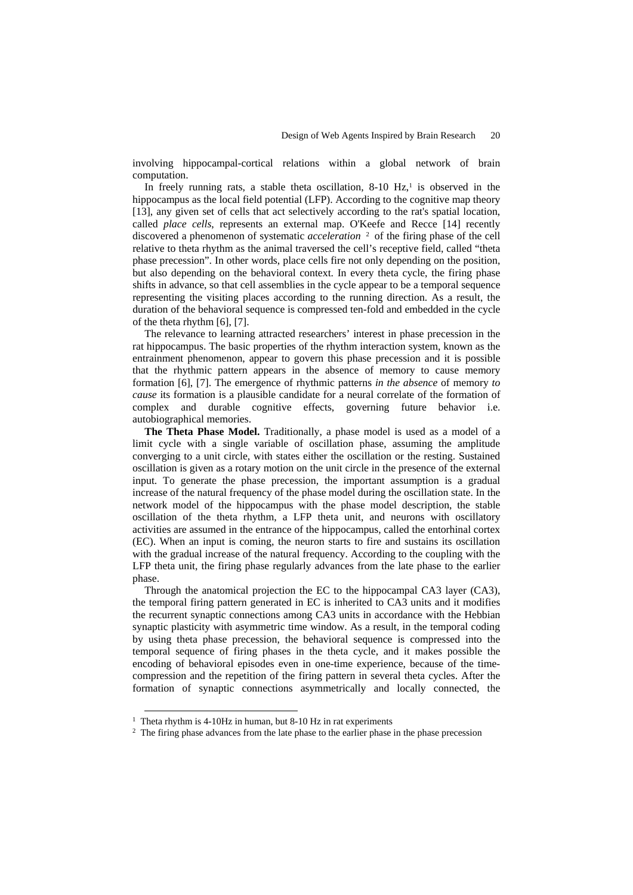involving hippocampal-cortical relations within a global network of brain computation.

In freely running rats, a stable theta oscillation,  $8-10$  Hz,<sup>1</sup> is observed in the hippocampus as the local field potential (LFP). According to the cognitive map theory [13], any given set of cells that act selectively according to the rat's spatial location, called *place cells*, represents an external map. O'Keefe and Recce [14] recently discovered a phenomenon of systematic *acceleration* <sup>2</sup> of the firing phase of the cell relative to theta rhythm as the animal traversed the cell's receptive field, called "theta phase precession". In other words, place cells fire not only depending on the position, but also depending on the behavioral context. In every theta cycle, the firing phase shifts in advance, so that cell assemblies in the cycle appear to be a temporal sequence representing the visiting places according to the running direction. As a result, the duration of the behavioral sequence is compressed ten-fold and embedded in the cycle of the theta rhythm [6], [7].

The relevance to learning attracted researchers' interest in phase precession in the rat hippocampus. The basic properties of the rhythm interaction system, known as the entrainment phenomenon, appear to govern this phase precession and it is possible that the rhythmic pattern appears in the absence of memory to cause memory formation [6], [7]. The emergence of rhythmic patterns *in the absence* of memory *to cause* its formation is a plausible candidate for a neural correlate of the formation of complex and durable cognitive effects, governing future behavior i.e. autobiographical memories.

**The Theta Phase Model.** Traditionally, a phase model is used as a model of a limit cycle with a single variable of oscillation phase, assuming the amplitude converging to a unit circle, with states either the oscillation or the resting. Sustained oscillation is given as a rotary motion on the unit circle in the presence of the external input. To generate the phase precession, the important assumption is a gradual increase of the natural frequency of the phase model during the oscillation state. In the network model of the hippocampus with the phase model description, the stable oscillation of the theta rhythm, a LFP theta unit, and neurons with oscillatory activities are assumed in the entrance of the hippocampus, called the entorhinal cortex (EC). When an input is coming, the neuron starts to fire and sustains its oscillation with the gradual increase of the natural frequency. According to the coupling with the LFP theta unit, the firing phase regularly advances from the late phase to the earlier phase.

Through the anatomical projection the EC to the hippocampal CA3 layer (CA3), the temporal firing pattern generated in EC is inherited to CA3 units and it modifies the recurrent synaptic connections among CA3 units in accordance with the Hebbian synaptic plasticity with asymmetric time window. As a result, in the temporal coding by using theta phase precession, the behavioral sequence is compressed into the temporal sequence of firing phases in the theta cycle, and it makes possible the encoding of behavioral episodes even in one-time experience, because of the timecompression and the repetition of the firing pattern in several theta cycles. After the formation of synaptic connections asymmetrically and locally connected, the

<sup>&</sup>lt;sup>1</sup> Theta rhythm is 4-10Hz in human, but 8-10 Hz in rat experiments

<sup>&</sup>lt;sup>2</sup> The firing phase advances from the late phase to the earlier phase in the phase precession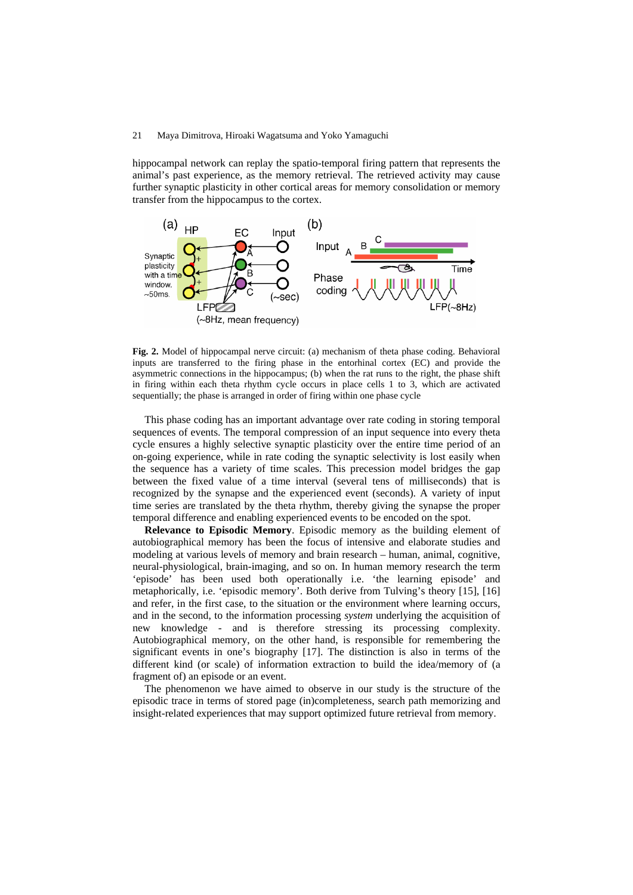hippocampal network can replay the spatio-temporal firing pattern that represents the animal's past experience, as the memory retrieval. The retrieved activity may cause further synaptic plasticity in other cortical areas for memory consolidation or memory transfer from the hippocampus to the cortex.



**Fig. 2.** Model of hippocampal nerve circuit: (a) mechanism of theta phase coding. Behavioral inputs are transferred to the firing phase in the entorhinal cortex (EC) and provide the asymmetric connections in the hippocampus; (b) when the rat runs to the right, the phase shift in firing within each theta rhythm cycle occurs in place cells 1 to 3, which are activated sequentially; the phase is arranged in order of firing within one phase cycle

This phase coding has an important advantage over rate coding in storing temporal sequences of events. The temporal compression of an input sequence into every theta cycle ensures a highly selective synaptic plasticity over the entire time period of an on-going experience, while in rate coding the synaptic selectivity is lost easily when the sequence has a variety of time scales. This precession model bridges the gap between the fixed value of a time interval (several tens of milliseconds) that is recognized by the synapse and the experienced event (seconds). A variety of input time series are translated by the theta rhythm, thereby giving the synapse the proper temporal difference and enabling experienced events to be encoded on the spot.

**Relevance to Episodic Memory**. Episodic memory as the building element of autobiographical memory has been the focus of intensive and elaborate studies and modeling at various levels of memory and brain research – human, animal, cognitive, neural-physiological, brain-imaging, and so on. In human memory research the term 'episode' has been used both operationally i.e. 'the learning episode' and metaphorically, i.e. 'episodic memory'. Both derive from Tulving's theory [15], [16] and refer, in the first case, to the situation or the environment where learning occurs, and in the second, to the information processing *system* underlying the acquisition of new knowledge - and is therefore stressing its processing complexity. Autobiographical memory, on the other hand, is responsible for remembering the significant events in one's biography [17]. The distinction is also in terms of the different kind (or scale) of information extraction to build the idea/memory of (a fragment of) an episode or an event.

The phenomenon we have aimed to observe in our study is the structure of the episodic trace in terms of stored page (in)completeness, search path memorizing and insight-related experiences that may support optimized future retrieval from memory.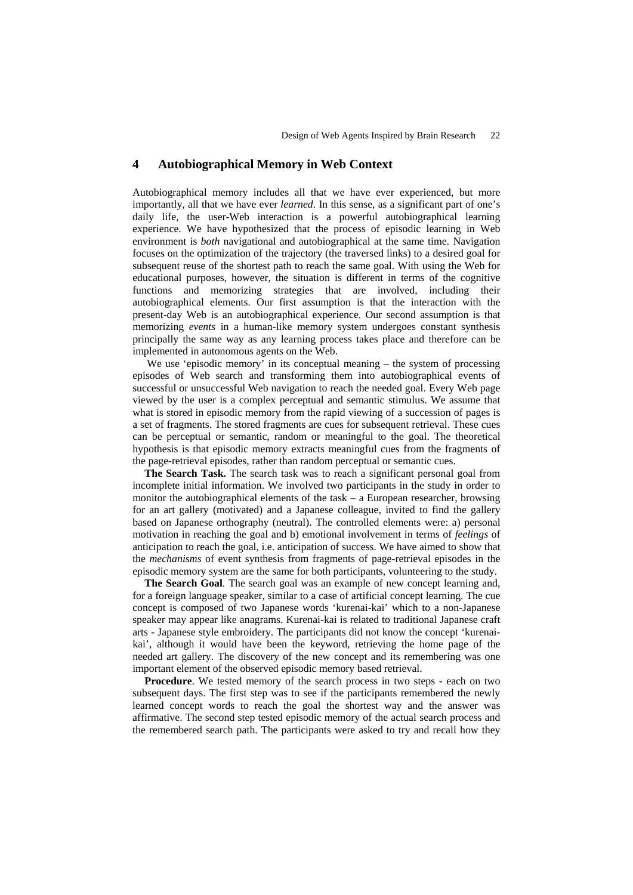### **4 Autobiographical Memory in Web Context**

Autobiographical memory includes all that we have ever experienced, but more importantly, all that we have ever *learned*. In this sense, as a significant part of one's daily life, the user-Web interaction is a powerful autobiographical learning experience. We have hypothesized that the process of episodic learning in Web environment is *both* navigational and autobiographical at the same time. Navigation focuses on the optimization of the trajectory (the traversed links) to a desired goal for subsequent reuse of the shortest path to reach the same goal. With using the Web for educational purposes, however, the situation is different in terms of the cognitive functions and memorizing strategies that are involved, including their autobiographical elements. Our first assumption is that the interaction with the present-day Web is an autobiographical experience. Our second assumption is that memorizing *events* in a human-like memory system undergoes constant synthesis principally the same way as any learning process takes place and therefore can be implemented in autonomous agents on the Web.

We use 'episodic memory' in its conceptual meaning – the system of processing episodes of Web search and transforming them into autobiographical events of successful or unsuccessful Web navigation to reach the needed goal. Every Web page viewed by the user is a complex perceptual and semantic stimulus. We assume that what is stored in episodic memory from the rapid viewing of a succession of pages is a set of fragments. The stored fragments are cues for subsequent retrieval. These cues can be perceptual or semantic, random or meaningful to the goal. The theoretical hypothesis is that episodic memory extracts meaningful cues from the fragments of the page-retrieval episodes, rather than random perceptual or semantic cues.

**The Search Task.** The search task was to reach a significant personal goal from incomplete initial information. We involved two participants in the study in order to monitor the autobiographical elements of the task – a European researcher, browsing for an art gallery (motivated) and a Japanese colleague, invited to find the gallery based on Japanese orthography (neutral). The controlled elements were: a) personal motivation in reaching the goal and b) emotional involvement in terms of *feelings* of anticipation to reach the goal, i.e. anticipation of success. We have aimed to show that the *mechanisms* of event synthesis from fragments of page-retrieval episodes in the episodic memory system are the same for both participants, volunteering to the study.

**The Search Goal**. The search goal was an example of new concept learning and, for a foreign language speaker, similar to a case of artificial concept learning. The cue concept is composed of two Japanese words 'kurenai-kai' which to a non-Japanese speaker may appear like anagrams. Kurenai-kai is related to traditional Japanese craft arts - Japanese style embroidery. The participants did not know the concept 'kurenaikai', although it would have been the keyword, retrieving the home page of the needed art gallery. The discovery of the new concept and its remembering was one important element of the observed episodic memory based retrieval.

**Procedure**. We tested memory of the search process in two steps - each on two subsequent days. The first step was to see if the participants remembered the newly learned concept words to reach the goal the shortest way and the answer was affirmative. The second step tested episodic memory of the actual search process and the remembered search path. The participants were asked to try and recall how they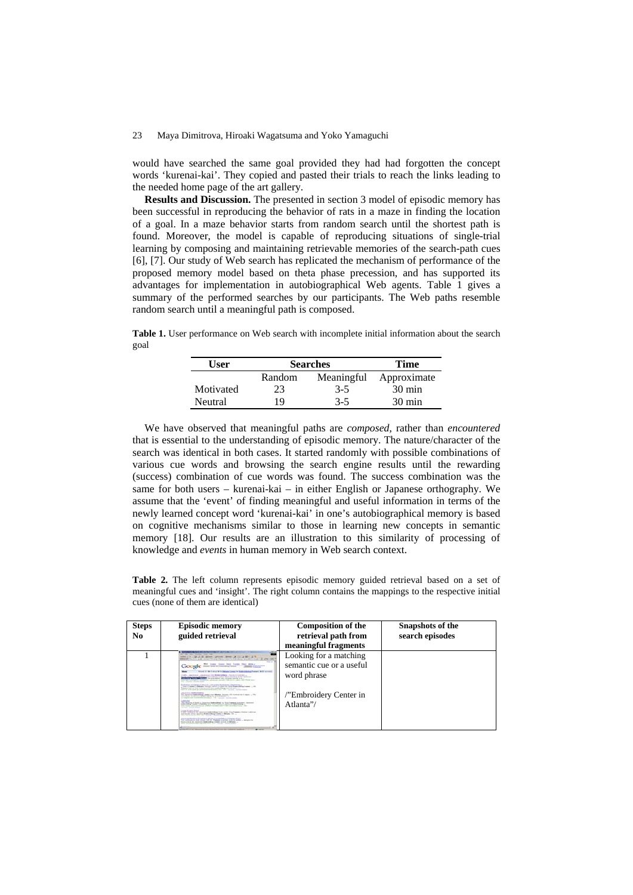would have searched the same goal provided they had had forgotten the concept words 'kurenai-kai'. They copied and pasted their trials to reach the links leading to the needed home page of the art gallery.

**Results and Discussion.** The presented in section 3 model of episodic memory has been successful in reproducing the behavior of rats in a maze in finding the location of a goal. In a maze behavior starts from random search until the shortest path is found. Moreover, the model is capable of reproducing situations of single-trial learning by composing and maintaining retrievable memories of the search-path cues [6], [7]. Our study of Web search has replicated the mechanism of performance of the proposed memory model based on theta phase precession, and has supported its advantages for implementation in autobiographical Web agents. Table 1 gives a summary of the performed searches by our participants. The Web paths resemble random search until a meaningful path is composed.

**Table 1.** User performance on Web search with incomplete initial information about the search goal

| User      | <b>Searches</b> |            | Time             |
|-----------|-----------------|------------|------------------|
|           | Random          | Meaningful | Approximate      |
| Motivated | 23              | $3 - 5$    | $30 \text{ min}$ |
| Neutral   | 19              | $3 - 5$    | $30 \text{ min}$ |

We have observed that meaningful paths are *composed*, rather than *encountered* that is essential to the understanding of episodic memory. The nature/character of the search was identical in both cases. It started randomly with possible combinations of various cue words and browsing the search engine results until the rewarding (success) combination of cue words was found. The success combination was the same for both users – kurenai-kai – in either English or Japanese orthography. We assume that the 'event' of finding meaningful and useful information in terms of the newly learned concept word 'kurenai-kai' in one's autobiographical memory is based on cognitive mechanisms similar to those in learning new concepts in semantic memory [18]. Our results are an illustration to this similarity of processing of knowledge and *events* in human memory in Web search context.

**Table 2.** The left column represents episodic memory guided retrieval based on a set of meaningful cues and 'insight'. The right column contains the mappings to the respective initial cues (none of them are identical)

| <b>Steps</b><br>No | <b>Episodic memory</b><br>guided retrieval                                                                                                                                                                                                                                                                                                                                                                                                                                                                                                                                                                                                                                                                                                                                                                                                                                                                                                                                                                                                                                                                                                                                                                                                                                                                                                                                                                                                                                                                                                                                                                                                                                                                                                                                                                                                                                                                                                                                                                                                                                                                                                                                                                                                                                                                 | <b>Composition of the</b><br>retrieval path from<br>meaningful fragments                                | <b>Snapshots of the</b><br>search episodes |
|--------------------|------------------------------------------------------------------------------------------------------------------------------------------------------------------------------------------------------------------------------------------------------------------------------------------------------------------------------------------------------------------------------------------------------------------------------------------------------------------------------------------------------------------------------------------------------------------------------------------------------------------------------------------------------------------------------------------------------------------------------------------------------------------------------------------------------------------------------------------------------------------------------------------------------------------------------------------------------------------------------------------------------------------------------------------------------------------------------------------------------------------------------------------------------------------------------------------------------------------------------------------------------------------------------------------------------------------------------------------------------------------------------------------------------------------------------------------------------------------------------------------------------------------------------------------------------------------------------------------------------------------------------------------------------------------------------------------------------------------------------------------------------------------------------------------------------------------------------------------------------------------------------------------------------------------------------------------------------------------------------------------------------------------------------------------------------------------------------------------------------------------------------------------------------------------------------------------------------------------------------------------------------------------------------------------------------------|---------------------------------------------------------------------------------------------------------|--------------------------------------------|
|                    | −<br>J. B. Shoon, Louisea, Street, L.<br>steed to be see the state of the state of the control of the state of the state of the state of the state<br>14.4<br><b>But boom Goody Jane Fordy Man William</b><br>GOOGIC Printing in Engineer Street<br>founds it. He of street HP to delivery Council by Engineeringham Tommers, Held commerci-<br>Week<br>Child's characteristic insurance from Mondandeback Thursday & Countries -<br>Sandy after factory Raggan mode and the coding Black boothed in the continues.<br>AT THE TWO CONTROLS THE RESIDENCE CO. & SAFEKEEPING TO A LAT.<br>tern has configure condition againsts another concerns, and concerns are<br>Silk College South House<br>ECONOLIC AWAY, A THE R. L. AR. M. TH. ECONOLIC AMERICAN LA<br>, time a country in Milanda, Concept with a restard for class Expenditure Louisian  (40)<br>Expense told on that is the benefit than productions was the tool of<br>the control and control and control and control and control and control and control and control and control and<br>Johnson Lo. Ambul schiberia<br>The newcove Eastweights I saids now Meaded Terrison (St. Notara lot-in trave). The<br>Techniques at Locations East-Adapta for Most Easterna' -<br>to compare cost the members of a time and it is the first and it is the content<br>Calendari<br>The Meeting of North or Institute Exchange for State Exposure Antoined, Instrument<br>Anderstein County of Advents and The Mosco of Associate Bankrotheas<br>the wave and allowance dealers to your and completely the first the complete and the<br>tion basic distants activity<br>Listen Eurers Artrid<br>in 1987, postal in the countries and collection of the special frame at the collection<br>and four-str. of the courses the develope 1 began in detailed. Set in<br>down free provided to be  The  to a high- function and on<br>Excess & Henrica Private at all disc Constants in Chapter 4114.<br>The contract is sick course, will be Training in schola much to content - decomposite<br>three are in the backmann high-release Cannot subside of different --<br>and consideration controls and charter control control<br>The property of the company and the property and the company of the company of the company of<br><b>Contract Manager</b> | Looking for a matching<br>semantic cue or a useful<br>word phrase<br>"Embroidery Center in<br>Atlanta"/ |                                            |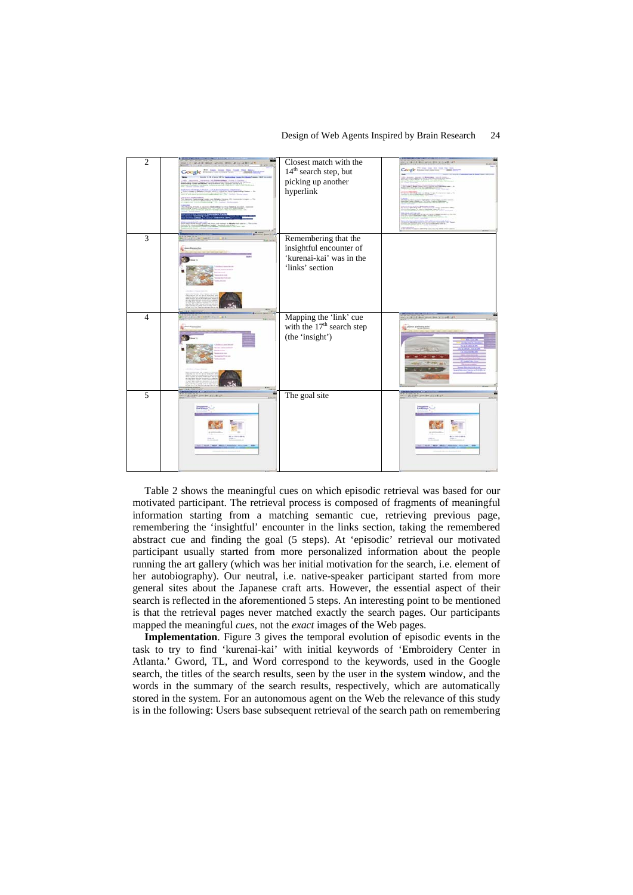#### Design of Web Agents Inspired by Brain Research 24



Table 2 shows the meaningful cues on which episodic retrieval was based for our motivated participant. The retrieval process is composed of fragments of meaningful information starting from a matching semantic cue, retrieving previous page, remembering the 'insightful' encounter in the links section, taking the remembered abstract cue and finding the goal (5 steps). At 'episodic' retrieval our motivated participant usually started from more personalized information about the people running the art gallery (which was her initial motivation for the search, i.e. element of her autobiography). Our neutral, i.e. native-speaker participant started from more general sites about the Japanese craft arts. However, the essential aspect of their search is reflected in the aforementioned 5 steps. An interesting point to be mentioned is that the retrieval pages never matched exactly the search pages. Our participants mapped the meaningful *cues*, not the *exact* images of the Web pages.

**Implementation**. Figure 3 gives the temporal evolution of episodic events in the task to try to find 'kurenai-kai' with initial keywords of 'Embroidery Center in Atlanta.' Gword, TL, and Word correspond to the keywords, used in the Google search, the titles of the search results, seen by the user in the system window, and the words in the summary of the search results, respectively, which are automatically stored in the system. For an autonomous agent on the Web the relevance of this study is in the following: Users base subsequent retrieval of the search path on remembering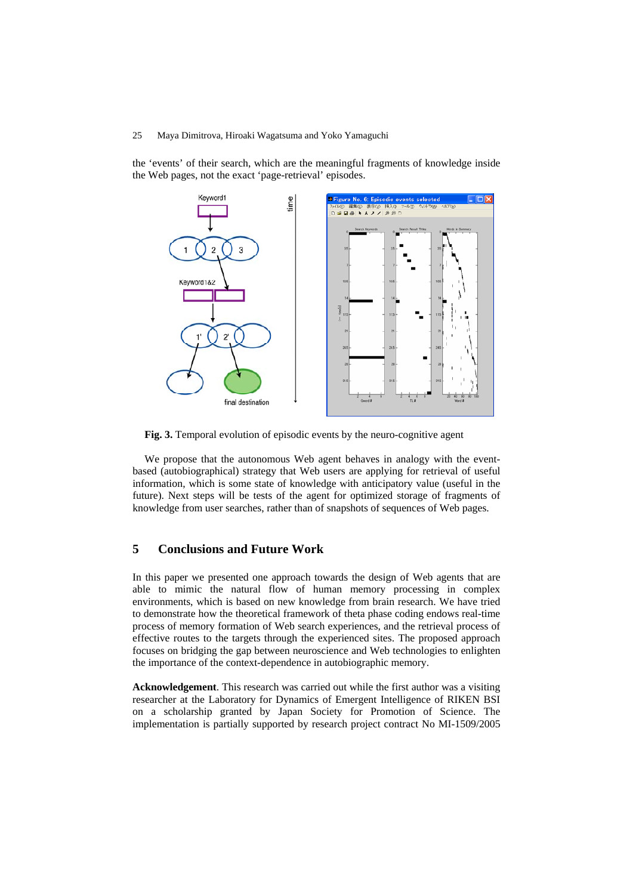the 'events' of their search, which are the meaningful fragments of knowledge inside the Web pages, not the exact 'page-retrieval' episodes.



**Fig. 3.** Temporal evolution of episodic events by the neuro-cognitive agent

We propose that the autonomous Web agent behaves in analogy with the eventbased (autobiographical) strategy that Web users are applying for retrieval of useful information, which is some state of knowledge with anticipatory value (useful in the future). Next steps will be tests of the agent for optimized storage of fragments of knowledge from user searches, rather than of snapshots of sequences of Web pages.

## **5 Conclusions and Future Work**

In this paper we presented one approach towards the design of Web agents that are able to mimic the natural flow of human memory processing in complex environments, which is based on new knowledge from brain research. We have tried to demonstrate how the theoretical framework of theta phase coding endows real-time process of memory formation of Web search experiences, and the retrieval process of effective routes to the targets through the experienced sites. The proposed approach focuses on bridging the gap between neuroscience and Web technologies to enlighten the importance of the context-dependence in autobiographic memory.

**Acknowledgement**. This research was carried out while the first author was a visiting researcher at the Laboratory for Dynamics of Emergent Intelligence of RIKEN BSI on a scholarship granted by Japan Society for Promotion of Science. The implementation is partially supported by research project contract No MI-1509/2005